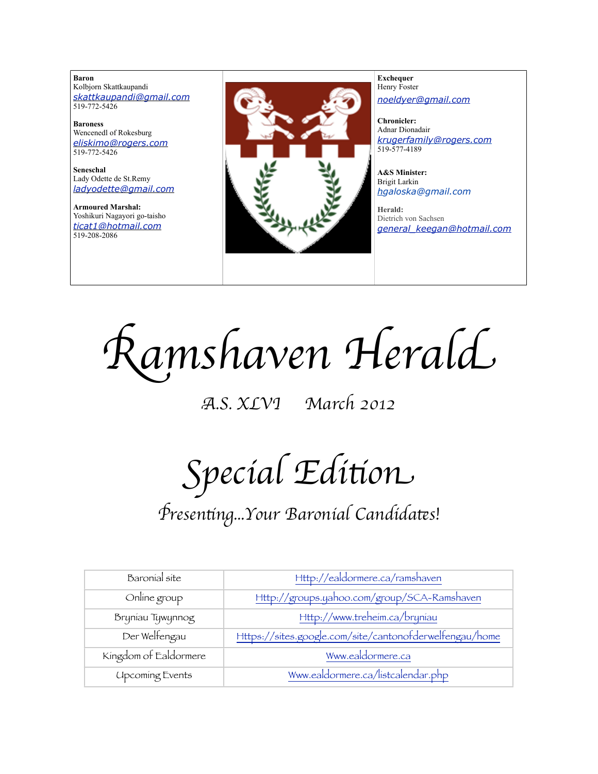**Baron**  Kolbjorn Skattkaupandi *[skattkaupandi@gmail.com](mailto:skattkaupandi@gmail.com)* 519-772-5426

**Baroness** Wencenedl of Rokesburg *[eliskimo@rogers.com](mailto:eliskimo@rogers.com)* 519-772-5426

**Seneschal** Lady Odette de St.Remy *[ladyodette@gmail.com](mailto:patchett@sympatico.ca)*

**Armoured Marshal:** Yoshikuri Nagayori go-taisho *[ticat1@hotmail.com](mailto:ticat1@hotmail.com)* 519-208-2086



**Exchequer** Henry Foster *[noeldyer@gmail.com](mailto:noeldyer@gmail.com)*

**Chronicler:** Adnar Dionadair *[krugerfamily@rogers.com](mailto:erhardkruger@gmail.com)* 519-577-4189

**A&S Minister:** Brigit Larkin *hgaloska@gmail.com*

**Herald:** Dietrich von Sachsen *[general\\_keegan@hotmail.com](mailto:general_keegan@hotmail.com)*

R*amshaven Heral*d

A*.S. XLVI March 2012*

Special Edition

# P*resen*%*ng...Your Baronial Candida*(*s!*

| Baronial site          | Http://ealdormere.ca/ramshaven                          |
|------------------------|---------------------------------------------------------|
| Online group           | Http://groups.yahoo.com/group/SCA-Ramshaven             |
| Bryniau Tywynnog       | Http://www.treheim.ca/bryniau                           |
| Der Welfengau          | Https://sites.google.com/site/cantonofderwelfengau/home |
| Kingdom of Ealdormere  | Www.ealdormere.ca                                       |
| <b>Upcoming Events</b> | Www.ealdormere.ca/listcalendar.php                      |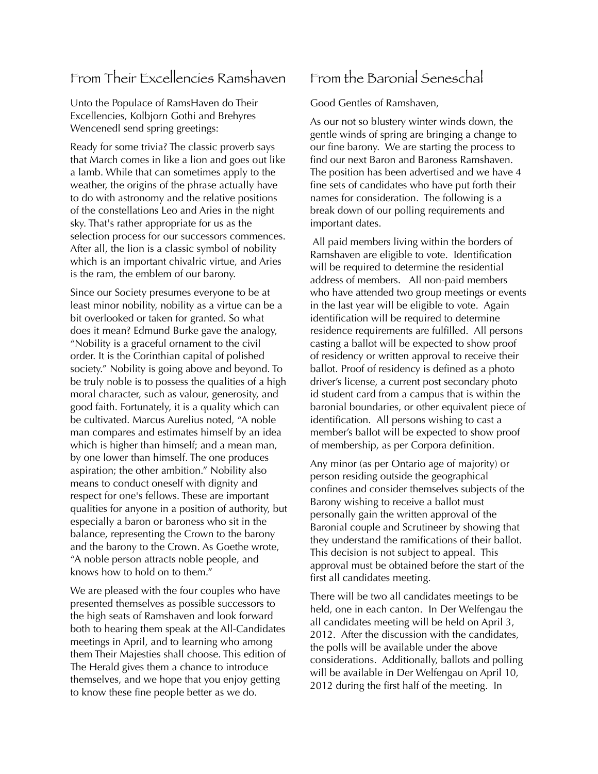#### From Their Excellencies Ramshaven

Unto the Populace of RamsHaven do Their Excellencies, Kolbjorn Gothi and Brehyres Wencenedl send spring greetings:

Ready for some trivia? The classic proverb says that March comes in like a lion and goes out like a lamb. While that can sometimes apply to the weather, the origins of the phrase actually have to do with astronomy and the relative positions of the constellations Leo and Aries in the night sky. That's rather appropriate for us as the selection process for our successors commences. After all, the lion is a classic symbol of nobility which is an important chivalric virtue, and Aries is the ram, the emblem of our barony.

Since our Society presumes everyone to be at least minor nobility, nobility as a virtue can be a bit overlooked or taken for granted. So what does it mean? Edmund Burke gave the analogy, "Nobility is a graceful ornament to the civil order. It is the Corinthian capital of polished society." Nobility is going above and beyond. To be truly noble is to possess the qualities of a high moral character, such as valour, generosity, and good faith. Fortunately, it is a quality which can be cultivated. Marcus Aurelius noted, "A noble man compares and estimates himself by an idea which is higher than himself; and a mean man, by one lower than himself. The one produces aspiration; the other ambition." Nobility also means to conduct oneself with dignity and respect for one's fellows. These are important qualities for anyone in a position of authority, but especially a baron or baroness who sit in the balance, representing the Crown to the barony and the barony to the Crown. As Goethe wrote, "A noble person attracts noble people, and knows how to hold on to them."

We are pleased with the four couples who have presented themselves as possible successors to the high seats of Ramshaven and look forward both to hearing them speak at the All-Candidates meetings in April, and to learning who among them Their Majesties shall choose. This edition of The Herald gives them a chance to introduce themselves, and we hope that you enjoy getting to know these fine people better as we do.

## From the Baronial Seneschal

Good Gentles of Ramshaven,

As our not so blustery winter winds down, the gentle winds of spring are bringing a change to our fine barony. We are starting the process to find our next Baron and Baroness Ramshaven. The position has been advertised and we have 4 fine sets of candidates who have put forth their names for consideration. The following is a break down of our polling requirements and important dates.

 All paid members living within the borders of Ramshaven are eligible to vote. Identification will be required to determine the residential address of members. All non-paid members who have attended two group meetings or events in the last year will be eligible to vote. Again identification will be required to determine residence requirements are fulfilled. All persons casting a ballot will be expected to show proof of residency or written approval to receive their ballot. Proof of residency is defined as a photo driver's license, a current post secondary photo id student card from a campus that is within the baronial boundaries, or other equivalent piece of identification. All persons wishing to cast a member's ballot will be expected to show proof of membership, as per Corpora definition.

Any minor (as per Ontario age of majority) or person residing outside the geographical confines and consider themselves subjects of the Barony wishing to receive a ballot must personally gain the written approval of the Baronial couple and Scrutineer by showing that they understand the ramifications of their ballot. This decision is not subject to appeal. This approval must be obtained before the start of the first all candidates meeting.

There will be two all candidates meetings to be held, one in each canton. In Der Welfengau the all candidates meeting will be held on April 3, 2012. After the discussion with the candidates, the polls will be available under the above considerations. Additionally, ballots and polling will be available in Der Welfengau on April 10, 2012 during the first half of the meeting. In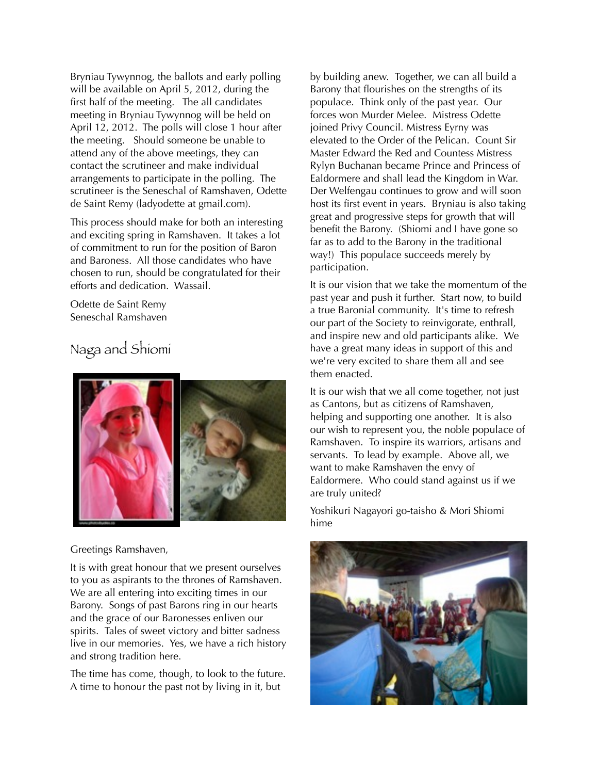Bryniau Tywynnog, the ballots and early polling will be available on April 5, 2012, during the first half of the meeting. The all candidates meeting in Bryniau Tywynnog will be held on April 12, 2012. The polls will close 1 hour after the meeting. Should someone be unable to attend any of the above meetings, they can contact the scrutineer and make individual arrangements to participate in the polling. The scrutineer is the Seneschal of Ramshaven, Odette de Saint Remy (ladyodette at gmail.com).

This process should make for both an interesting and exciting spring in Ramshaven. It takes a lot of commitment to run for the position of Baron and Baroness. All those candidates who have chosen to run, should be congratulated for their efforts and dedication. Wassail.

Odette de Saint Remy Seneschal Ramshaven

## Naga and Shiomi



Greetings Ramshaven,

It is with great honour that we present ourselves to you as aspirants to the thrones of Ramshaven. We are all entering into exciting times in our Barony. Songs of past Barons ring in our hearts and the grace of our Baronesses enliven our spirits. Tales of sweet victory and bitter sadness live in our memories. Yes, we have a rich history and strong tradition here.

The time has come, though, to look to the future. A time to honour the past not by living in it, but

by building anew. Together, we can all build a Barony that flourishes on the strengths of its populace. Think only of the past year. Our forces won Murder Melee. Mistress Odette joined Privy Council. Mistress Eyrny was elevated to the Order of the Pelican. Count Sir Master Edward the Red and Countess Mistress Rylyn Buchanan became Prince and Princess of Ealdormere and shall lead the Kingdom in War. Der Welfengau continues to grow and will soon host its first event in years. Bryniau is also taking great and progressive steps for growth that will benefit the Barony. (Shiomi and I have gone so far as to add to the Barony in the traditional way!) This populace succeeds merely by participation.

It is our vision that we take the momentum of the past year and push it further. Start now, to build a true Baronial community. It's time to refresh our part of the Society to reinvigorate, enthrall, and inspire new and old participants alike. We have a great many ideas in support of this and we're very excited to share them all and see them enacted.

It is our wish that we all come together, not just as Cantons, but as citizens of Ramshaven, helping and supporting one another. It is also our wish to represent you, the noble populace of Ramshaven. To inspire its warriors, artisans and servants. To lead by example. Above all, we want to make Ramshaven the envy of Ealdormere. Who could stand against us if we are truly united?

Yoshikuri Nagayori go-taisho & Mori Shiomi hime

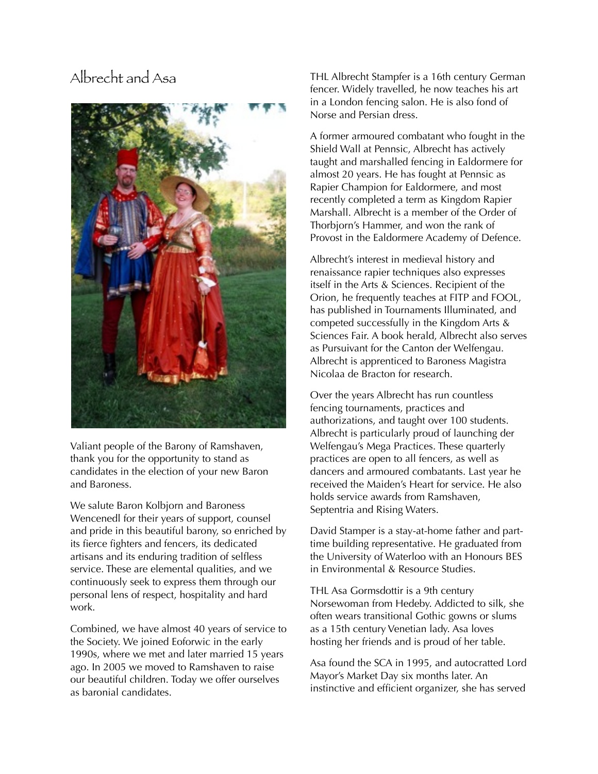### Albrecht and Asa



Valiant people of the Barony of Ramshaven, thank you for the opportunity to stand as candidates in the election of your new Baron and Baroness.

We salute Baron Kolbjorn and Baroness Wencenedl for their years of support, counsel and pride in this beautiful barony, so enriched by its fierce fighters and fencers, its dedicated artisans and its enduring tradition of selfless service. These are elemental qualities, and we continuously seek to express them through our personal lens of respect, hospitality and hard work.

Combined, we have almost 40 years of service to the Society. We joined Eoforwic in the early 1990s, where we met and later married 15 years ago. In 2005 we moved to Ramshaven to raise our beautiful children. Today we offer ourselves as baronial candidates.

THL Albrecht Stampfer is a 16th century German fencer. Widely travelled, he now teaches his art in a London fencing salon. He is also fond of Norse and Persian dress.

A former armoured combatant who fought in the Shield Wall at Pennsic, Albrecht has actively taught and marshalled fencing in Ealdormere for almost 20 years. He has fought at Pennsic as Rapier Champion for Ealdormere, and most recently completed a term as Kingdom Rapier Marshall. Albrecht is a member of the Order of Thorbjorn's Hammer, and won the rank of Provost in the Ealdormere Academy of Defence.

Albrecht's interest in medieval history and renaissance rapier techniques also expresses itself in the Arts & Sciences. Recipient of the Orion, he frequently teaches at FITP and FOOL, has published in Tournaments Illuminated, and competed successfully in the Kingdom Arts & Sciences Fair. A book herald, Albrecht also serves as Pursuivant for the Canton der Welfengau. Albrecht is apprenticed to Baroness Magistra Nicolaa de Bracton for research.

Over the years Albrecht has run countless fencing tournaments, practices and authorizations, and taught over 100 students. Albrecht is particularly proud of launching der Welfengau's Mega Practices. These quarterly practices are open to all fencers, as well as dancers and armoured combatants. Last year he received the Maiden's Heart for service. He also holds service awards from Ramshaven, Septentria and Rising Waters.

David Stamper is a stay-at-home father and parttime building representative. He graduated from the University of Waterloo with an Honours BES in Environmental & Resource Studies.

THL Asa Gormsdottir is a 9th century Norsewoman from Hedeby. Addicted to silk, she often wears transitional Gothic gowns or slums as a 15th century Venetian lady. Asa loves hosting her friends and is proud of her table.

Asa found the SCA in 1995, and autocratted Lord Mayor's Market Day six months later. An instinctive and efficient organizer, she has served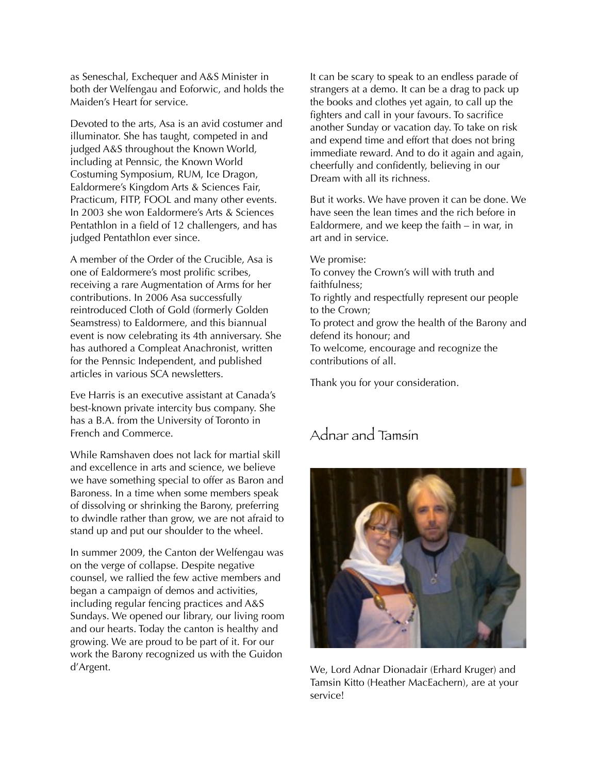as Seneschal, Exchequer and A&S Minister in both der Welfengau and Eoforwic, and holds the Maiden's Heart for service.

Devoted to the arts, Asa is an avid costumer and illuminator. She has taught, competed in and judged A&S throughout the Known World, including at Pennsic, the Known World Costuming Symposium, RUM, Ice Dragon, Ealdormere's Kingdom Arts & Sciences Fair, Practicum, FITP, FOOL and many other events. In 2003 she won Ealdormere's Arts & Sciences Pentathlon in a field of 12 challengers, and has judged Pentathlon ever since.

A member of the Order of the Crucible, Asa is one of Ealdormere's most prolific scribes, receiving a rare Augmentation of Arms for her contributions. In 2006 Asa successfully reintroduced Cloth of Gold (formerly Golden Seamstress) to Ealdormere, and this biannual event is now celebrating its 4th anniversary. She has authored a Compleat Anachronist, written for the Pennsic Independent, and published articles in various SCA newsletters.

Eve Harris is an executive assistant at Canada's best-known private intercity bus company. She has a B.A. from the University of Toronto in French and Commerce.

While Ramshaven does not lack for martial skill and excellence in arts and science, we believe we have something special to offer as Baron and Baroness. In a time when some members speak of dissolving or shrinking the Barony, preferring to dwindle rather than grow, we are not afraid to stand up and put our shoulder to the wheel.

In summer 2009, the Canton der Welfengau was on the verge of collapse. Despite negative counsel, we rallied the few active members and began a campaign of demos and activities, including regular fencing practices and A&S Sundays. We opened our library, our living room and our hearts. Today the canton is healthy and growing. We are proud to be part of it. For our work the Barony recognized us with the Guidon d'Argent.

It can be scary to speak to an endless parade of strangers at a demo. It can be a drag to pack up the books and clothes yet again, to call up the fighters and call in your favours. To sacrifice another Sunday or vacation day. To take on risk and expend time and effort that does not bring immediate reward. And to do it again and again, cheerfully and confidently, believing in our Dream with all its richness.

But it works. We have proven it can be done. We have seen the lean times and the rich before in Ealdormere, and we keep the faith – in war, in art and in service.

We promise:

To convey the Crown's will with truth and faithfulness;

To rightly and respectfully represent our people to the Crown;

To protect and grow the health of the Barony and defend its honour; and

To welcome, encourage and recognize the contributions of all.

Thank you for your consideration.

## Adnar and Tamsin



We, Lord Adnar Dionadair (Erhard Kruger) and Tamsin Kitto (Heather MacEachern), are at your service!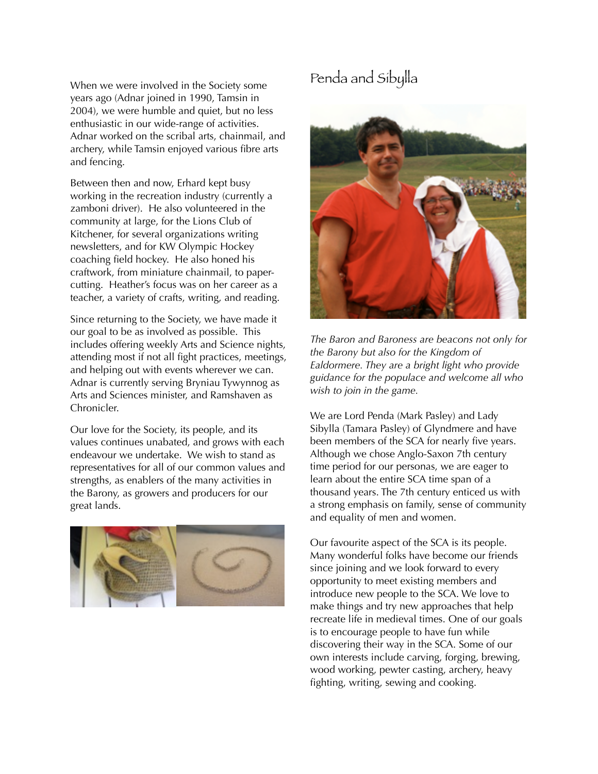When we were involved in the Society some years ago (Adnar joined in 1990, Tamsin in 2004), we were humble and quiet, but no less enthusiastic in our wide-range of activities. Adnar worked on the scribal arts, chainmail, and archery, while Tamsin enjoyed various fibre arts and fencing.

Between then and now, Erhard kept busy working in the recreation industry (currently a zamboni driver). He also volunteered in the community at large, for the Lions Club of Kitchener, for several organizations writing newsletters, and for KW Olympic Hockey coaching field hockey. He also honed his craftwork, from miniature chainmail, to papercutting. Heather's focus was on her career as a teacher, a variety of crafts, writing, and reading.

Since returning to the Society, we have made it our goal to be as involved as possible. This includes offering weekly Arts and Science nights, attending most if not all fight practices, meetings, and helping out with events wherever we can. Adnar is currently serving Bryniau Tywynnog as Arts and Sciences minister, and Ramshaven as Chronicler.

Our love for the Society, its people, and its values continues unabated, and grows with each endeavour we undertake. We wish to stand as representatives for all of our common values and strengths, as enablers of the many activities in the Barony, as growers and producers for our great lands.



## Penda and Sibylla



*The Baron and Baroness are beacons not only for the Barony but also for the Kingdom of Ealdormere. They are a bright light who provide guidance for the populace and welcome all who wish to join in the game.*

We are Lord Penda (Mark Pasley) and Lady Sibylla (Tamara Pasley) of Glyndmere and have been members of the SCA for nearly five years. Although we chose Anglo-Saxon 7th century time period for our personas, we are eager to learn about the entire SCA time span of a thousand years. The 7th century enticed us with a strong emphasis on family, sense of community and equality of men and women.

Our favourite aspect of the SCA is its people. Many wonderful folks have become our friends since joining and we look forward to every opportunity to meet existing members and introduce new people to the SCA. We love to make things and try new approaches that help recreate life in medieval times. One of our goals is to encourage people to have fun while discovering their way in the SCA. Some of our own interests include carving, forging, brewing, wood working, pewter casting, archery, heavy fighting, writing, sewing and cooking.